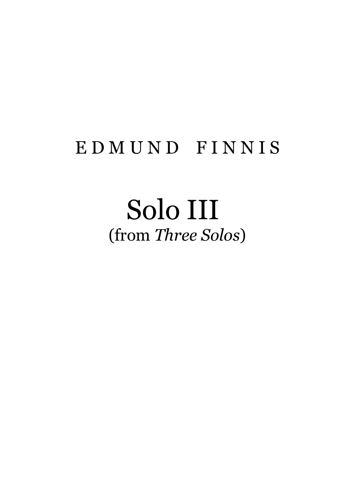## E D M U N D F I N N I S

## Solo III (from *Three Solos*)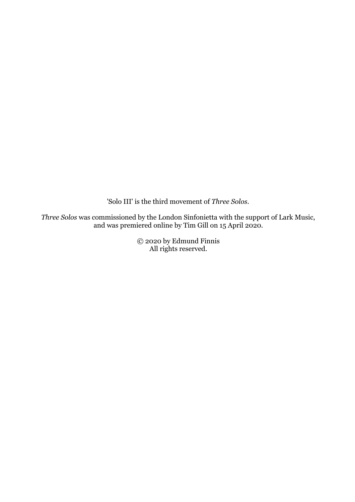'Solo III' is the third movement of *Three Solos.*

*Three Solos* was commissioned by the London Sinfonietta with the support of Lark Music, and was premiered online by Tim Gill on 15 April 2020.

> © 2020 by Edmund Finnis All rights reserved.